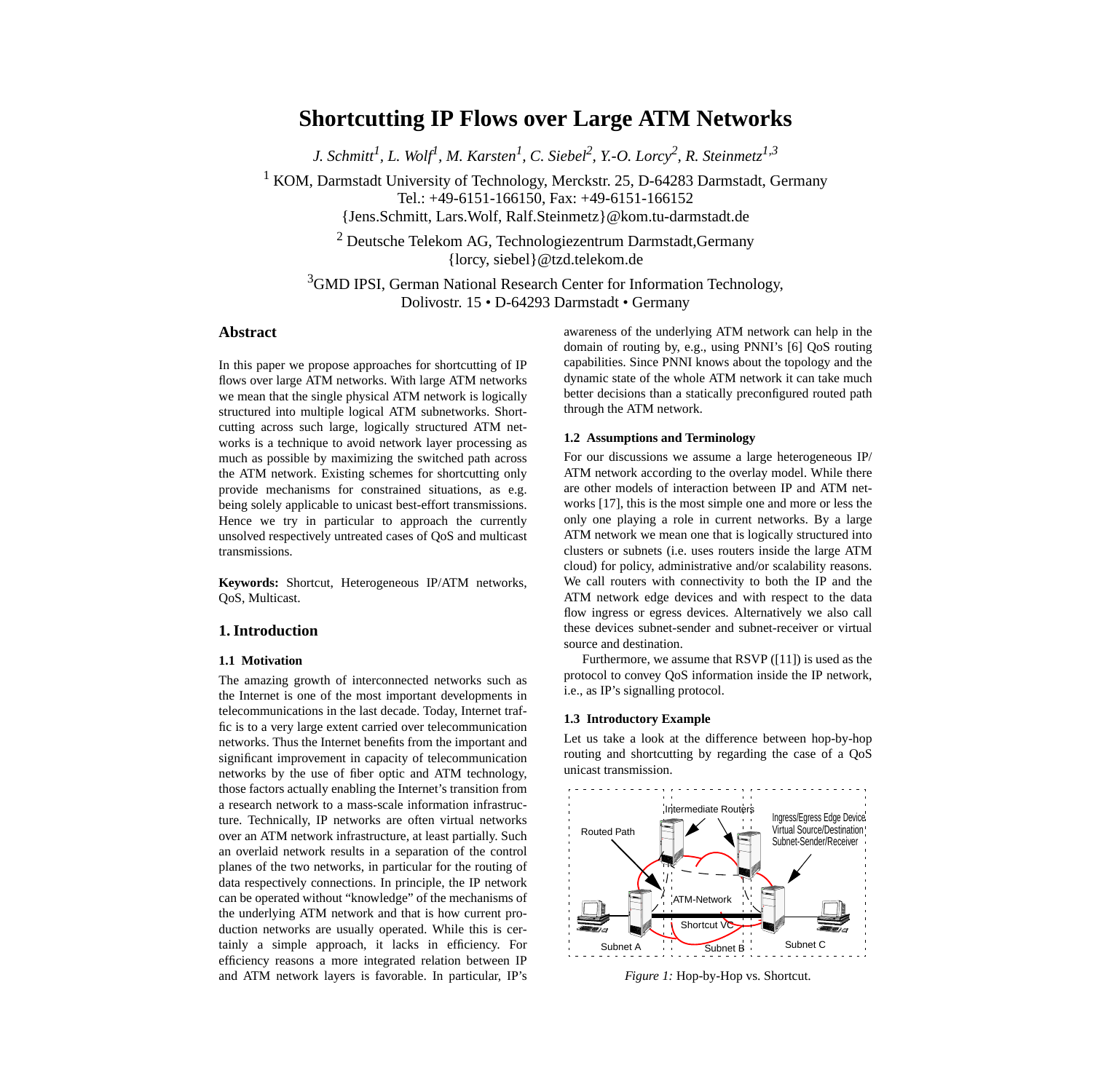# <span id="page-0-0"></span>**Shortcutting IP Flows over Large ATM Networks**

*J. Schmitt<sup>1</sup> , L. Wolf<sup>1</sup> , M. Karsten1, C. Siebel2, Y.-O. Lorcy2, R. Steinmetz1,3*

<sup>1</sup> KOM, Darmstadt University of Technology, Merckstr. 25, D-64283 Darmstadt, Germany Tel.: +49-6151-166150, Fax: +49-6151-166152

{Jens.Schmitt, Lars.Wolf, Ralf.Steinmetz}@kom.tu-darmstadt.de

 $2$  Deutsche Telekom AG, Technologiezentrum Darmstadt, Germany {lorcy, siebel}@tzd.telekom.de

3GMD IPSI, German National Research Center for Information Technology, Dolivostr. 15 • D-64293 Darmstadt • Germany

# **Abstract**

In this paper we propose approaches for shortcutting of IP flows over large ATM networks. With large ATM networks we mean that the single physical ATM network is logically structured into multiple logical ATM subnetworks. Shortcutting across such large, logically structured ATM networks is a technique to avoid network layer processing as much as possible by maximizing the switched path across the ATM network. Existing schemes for shortcutting only provide mechanisms for constrained situations, as e.g. being solely applicable to unicast best-effort transmissions. Hence we try in particular to approach the currently unsolved respectively untreated cases of QoS and multicast transmissions.

**Keywords:** Shortcut, Heterogeneous IP/ATM networks, QoS, Multicast.

# **1. Introduction**

## **1.1 Motivation**

The amazing growth of interconnected networks such as the Internet is one of the most important developments in telecommunications in the last decade. Today, Internet traffic is to a very large extent carried over telecommunication networks. Thus the Internet benefits from the important and significant improvement in capacity of telecommunication networks by the use of fiber optic and ATM technology, those factors actually enabling the Internet's transition from a research network to a mass-scale information infrastructure. Technically, IP networks are often virtual networks over an ATM network infrastructure, at least partially. Such an overlaid network results in a separation of the control planes of the two networks, in particular for the routing of data respectively connections. In principle, the IP network can be operated without "knowledge" of the mechanisms of the underlying ATM network and that is how current production networks are usually operated. While this is certainly a simple approach, it lacks in efficiency. For efficiency reasons a more integrated relation between IP and ATM network layers is favorable. In particular, IP's

awareness of the underlying ATM network can help in the domain of routing by, e.g., using PNNI's [6] QoS routing capabilities. Since PNNI knows about the topology and the dynamic state of the whole ATM network it can take much better decisions than a statically preconfigured routed path through the ATM network.

#### **1.2 Assumptions and Terminology**

For our discussions we assume a large heterogeneous IP/ ATM network according to the overlay model. While there are other models of interaction between IP and ATM networks [17], this is the most simple one and more or less the only one playing a role in current networks. By a large ATM network we mean one that is logically structured into clusters or subnets (i.e. uses routers inside the large ATM cloud) for policy, administrative and/or scalability reasons. We call routers with connectivity to both the IP and the ATM network edge devices and with respect to the data flow ingress or egress devices. Alternatively we also call these devices subnet-sender and subnet-receiver or virtual source and destination.

Furthermore, we assume that RSVP ([11]) is used as the protocol to convey QoS information inside the IP network, i.e., as IP's signalling protocol.

#### **1.3 Introductory Example**

Let us take a look at the difference between hop-by-hop routing and shortcutting by regarding the case of a QoS unicast transmission.



*Figure 1:* Hop-by-Hop vs. Shortcut.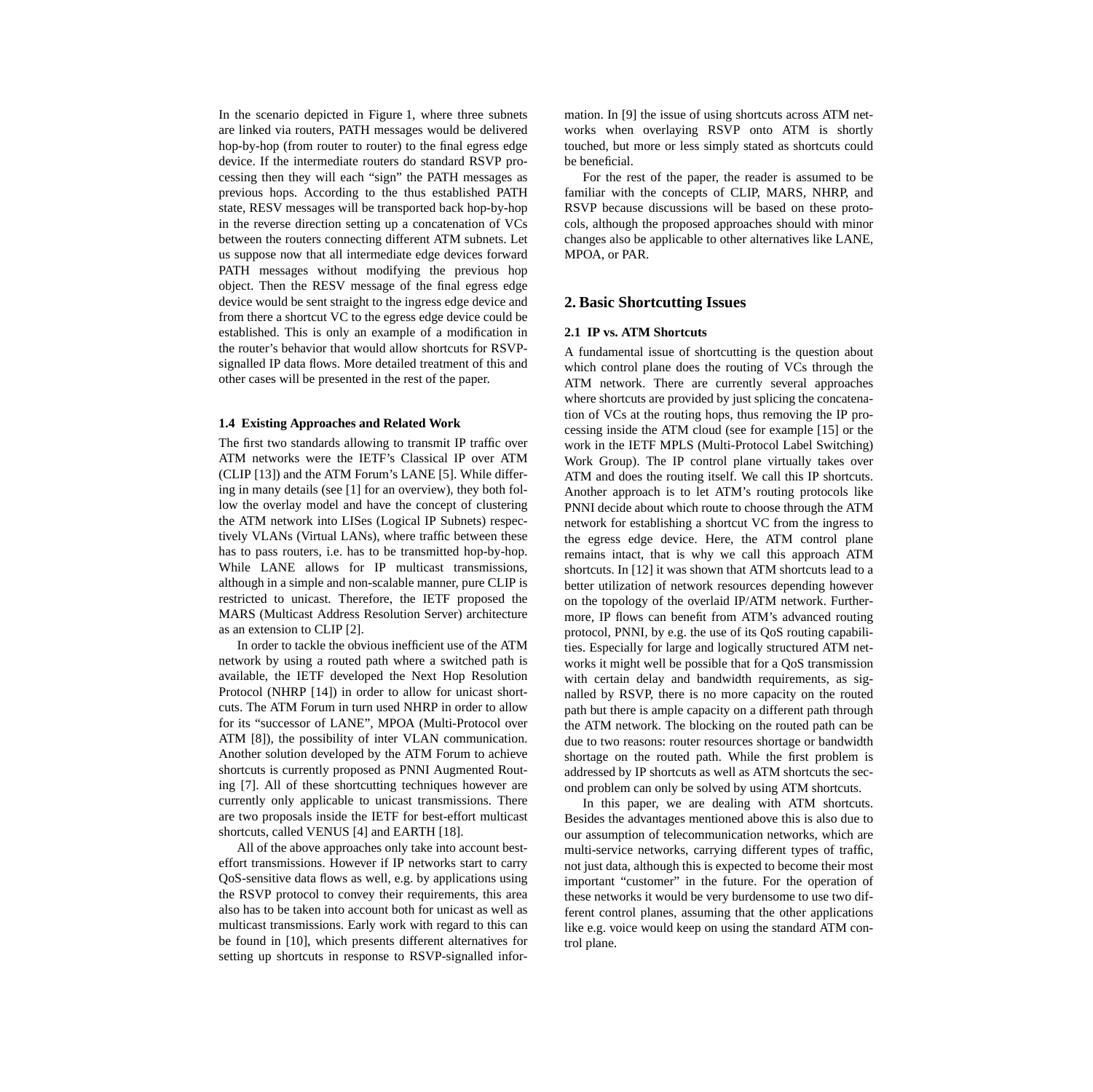In the scenario depicted in [Figure 1](#page-0-0), where three subnets are linked via routers, PATH messages would be delivered hop-by-hop (from router to router) to the final egress edge device. If the intermediate routers do standard RSVP processing then they will each "sign" the PATH messages as previous hops. According to the thus established PATH state, RESV messages will be transported back hop-by-hop in the reverse direction setting up a concatenation of VCs between the routers connecting different ATM subnets. Let us suppose now that all intermediate edge devices forward PATH messages without modifying the previous hop object. Then the RESV message of the final egress edge device would be sent straight to the ingress edge device and from there a shortcut VC to the egress edge device could be established. This is only an example of a modification in the router's behavior that would allow shortcuts for RSVPsignalled IP data flows. More detailed treatment of this and other cases will be presented in the rest of the paper.

#### **1.4 Existing Approaches and Related Work**

The first two standards allowing to transmit IP traffic over ATM networks were the IETF's Classical IP over ATM (CLIP [13]) and the ATM Forum's LANE [5]. While differing in many details (see [1] for an overview), they both follow the overlay model and have the concept of clustering the ATM network into LISes (Logical IP Subnets) respectively VLANs (Virtual LANs), where traffic between these has to pass routers, i.e. has to be transmitted hop-by-hop. While LANE allows for IP multicast transmissions, although in a simple and non-scalable manner, pure CLIP is restricted to unicast. Therefore, the IETF proposed the MARS (Multicast Address Resolution Server) architecture as an extension to CLIP [2].

In order to tackle the obvious inefficient use of the ATM network by using a routed path where a switched path is available, the IETF developed the Next Hop Resolution Protocol (NHRP [14]) in order to allow for unicast shortcuts. The ATM Forum in turn used NHRP in order to allow for its "successor of LANE", MPOA (Multi-Protocol over ATM [8]), the possibility of inter VLAN communication. Another solution developed by the ATM Forum to achieve shortcuts is currently proposed as PNNI Augmented Routing [7]. All of these shortcutting techniques however are currently only applicable to unicast transmissions. There are two proposals inside the IETF for best-effort multicast shortcuts, called VENUS [4] and EARTH [18].

All of the above approaches only take into account besteffort transmissions. However if IP networks start to carry QoS-sensitive data flows as well, e.g. by applications using the RSVP protocol to convey their requirements, this area also has to be taken into account both for unicast as well as multicast transmissions. Early work with regard to this can be found in [10], which presents different alternatives for setting up shortcuts in response to RSVP-signalled information. In [9] the issue of using shortcuts across ATM networks when overlaying RSVP onto ATM is shortly touched, but more or less simply stated as shortcuts could be beneficial.

For the rest of the paper, the reader is assumed to be familiar with the concepts of CLIP, MARS, NHRP, and RSVP because discussions will be based on these protocols, although the proposed approaches should with minor changes also be applicable to other alternatives like LANE, MPOA, or PAR.

#### **2. Basic Shortcutting Issues**

#### **2.1 IP vs. ATM Shortcuts**

A fundamental issue of shortcutting is the question about which control plane does the routing of VCs through the ATM network. There are currently several approaches where shortcuts are provided by just splicing the concatenation of VCs at the routing hops, thus removing the IP processing inside the ATM cloud (see for example [15] or the work in the IETF MPLS (Multi-Protocol Label Switching) Work Group). The IP control plane virtually takes over ATM and does the routing itself. We call this IP shortcuts. Another approach is to let ATM's routing protocols like PNNI decide about which route to choose through the ATM network for establishing a shortcut VC from the ingress to the egress edge device. Here, the ATM control plane remains intact, that is why we call this approach ATM shortcuts. In [12] it was shown that ATM shortcuts lead to a better utilization of network resources depending however on the topology of the overlaid IP/ATM network. Furthermore, IP flows can benefit from ATM's advanced routing protocol, PNNI, by e.g. the use of its QoS routing capabilities. Especially for large and logically structured ATM networks it might well be possible that for a QoS transmission with certain delay and bandwidth requirements, as signalled by RSVP, there is no more capacity on the routed path but there is ample capacity on a different path through the ATM network. The blocking on the routed path can be due to two reasons: router resources shortage or bandwidth shortage on the routed path. While the first problem is addressed by IP shortcuts as well as ATM shortcuts the second problem can only be solved by using ATM shortcuts.

In this paper, we are dealing with ATM shortcuts. Besides the advantages mentioned above this is also due to our assumption of telecommunication networks, which are multi-service networks, carrying different types of traffic, not just data, although this is expected to become their most important "customer" in the future. For the operation of these networks it would be very burdensome to use two different control planes, assuming that the other applications like e.g. voice would keep on using the standard ATM control plane.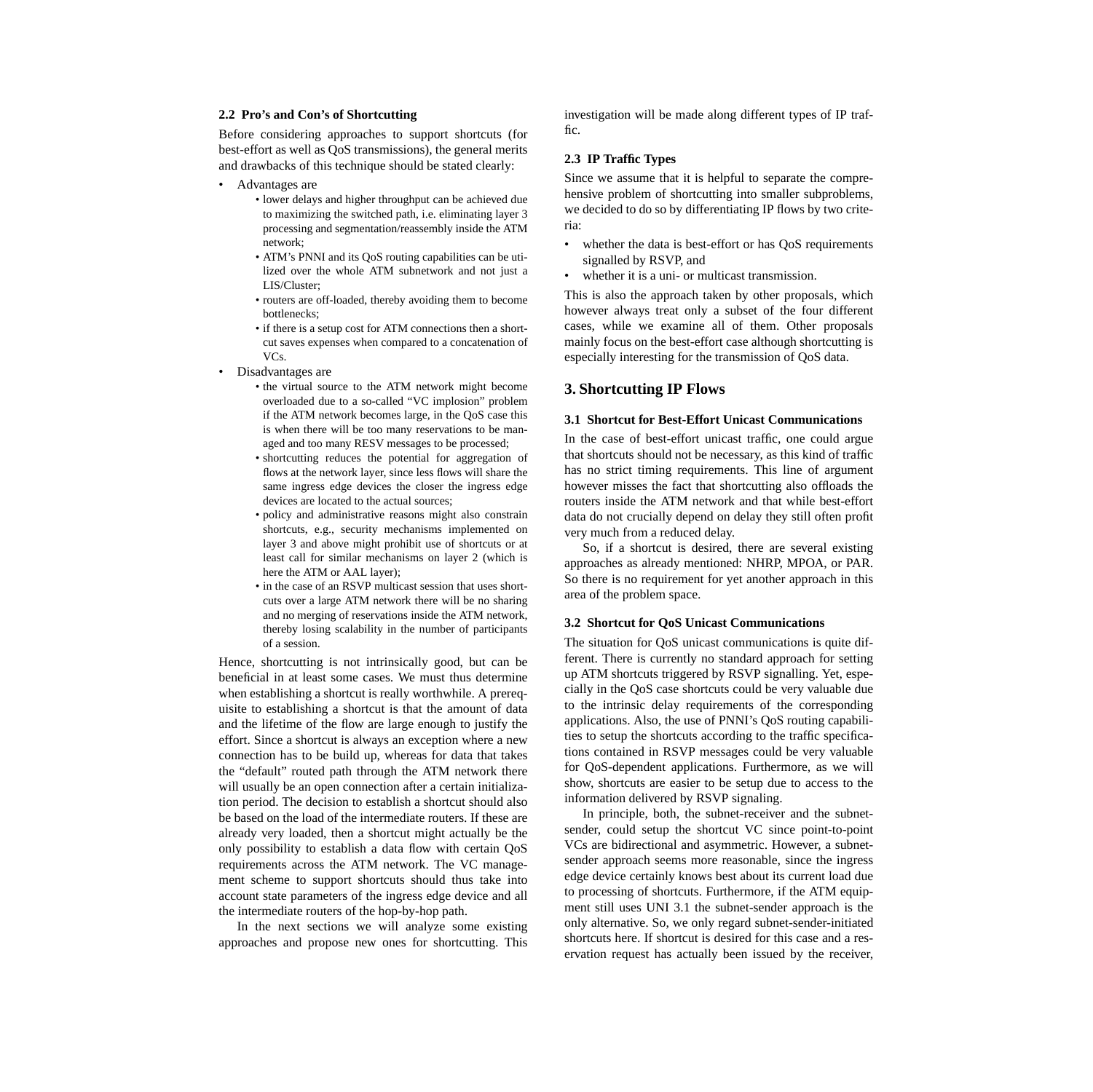#### **2.2 Pro's and Con's of Shortcutting**

Before considering approaches to support shortcuts (for best-effort as well as QoS transmissions), the general merits and drawbacks of this technique should be stated clearly:

- Advantages are
	- lower delays and higher throughput can be achieved due to maximizing the switched path, i.e. eliminating layer 3 processing and segmentation/reassembly inside the ATM network;
	- ATM's PNNI and its QoS routing capabilities can be utilized over the whole ATM subnetwork and not just a LIS/Cluster;
	- routers are off-loaded, thereby avoiding them to become bottlenecks;
	- if there is a setup cost for ATM connections then a shortcut saves expenses when compared to a concatenation of VCs.
- Disadvantages are
	- the virtual source to the ATM network might become overloaded due to a so-called "VC implosion" problem if the ATM network becomes large, in the QoS case this is when there will be too many reservations to be managed and too many RESV messages to be processed;
	- shortcutting reduces the potential for aggregation of flows at the network layer, since less flows will share the same ingress edge devices the closer the ingress edge devices are located to the actual sources;
	- policy and administrative reasons might also constrain shortcuts, e.g., security mechanisms implemented on layer 3 and above might prohibit use of shortcuts or at least call for similar mechanisms on layer 2 (which is here the ATM or AAL layer);
	- in the case of an RSVP multicast session that uses shortcuts over a large ATM network there will be no sharing and no merging of reservations inside the ATM network, thereby losing scalability in the number of participants of a session.

Hence, shortcutting is not intrinsically good, but can be beneficial in at least some cases. We must thus determine when establishing a shortcut is really worthwhile. A prerequisite to establishing a shortcut is that the amount of data and the lifetime of the flow are large enough to justify the effort. Since a shortcut is always an exception where a new connection has to be build up, whereas for data that takes the "default" routed path through the ATM network there will usually be an open connection after a certain initialization period. The decision to establish a shortcut should also be based on the load of the intermediate routers. If these are already very loaded, then a shortcut might actually be the only possibility to establish a data flow with certain QoS requirements across the ATM network. The VC management scheme to support shortcuts should thus take into account state parameters of the ingress edge device and all the intermediate routers of the hop-by-hop path.

In the next sections we will analyze some existing approaches and propose new ones for shortcutting. This

investigation will be made along different types of IP traffic.

## **2.3 IP Traffic Types**

Since we assume that it is helpful to separate the comprehensive problem of shortcutting into smaller subproblems, we decided to do so by differentiating IP flows by two criteria:

- whether the data is best-effort or has QoS requirements signalled by RSVP, and
- whether it is a uni- or multicast transmission.

This is also the approach taken by other proposals, which however always treat only a subset of the four different cases, while we examine all of them. Other proposals mainly focus on the best-effort case although shortcutting is especially interesting for the transmission of QoS data.

# **3. Shortcutting IP Flows**

## **3.1 Shortcut for Best-Effort Unicast Communications**

In the case of best-effort unicast traffic, one could argue that shortcuts should not be necessary, as this kind of traffic has no strict timing requirements. This line of argument however misses the fact that shortcutting also offloads the routers inside the ATM network and that while best-effort data do not crucially depend on delay they still often profit very much from a reduced delay.

So, if a shortcut is desired, there are several existing approaches as already mentioned: NHRP, MPOA, or PAR. So there is no requirement for yet another approach in this area of the problem space.

#### **3.2 Shortcut for QoS Unicast Communications**

The situation for QoS unicast communications is quite different. There is currently no standard approach for setting up ATM shortcuts triggered by RSVP signalling. Yet, especially in the QoS case shortcuts could be very valuable due to the intrinsic delay requirements of the corresponding applications. Also, the use of PNNI's QoS routing capabilities to setup the shortcuts according to the traffic specifications contained in RSVP messages could be very valuable for QoS-dependent applications. Furthermore, as we will show, shortcuts are easier to be setup due to access to the information delivered by RSVP signaling.

In principle, both, the subnet-receiver and the subnetsender, could setup the shortcut VC since point-to-point VCs are bidirectional and asymmetric. However, a subnetsender approach seems more reasonable, since the ingress edge device certainly knows best about its current load due to processing of shortcuts. Furthermore, if the ATM equipment still uses UNI 3.1 the subnet-sender approach is the only alternative. So, we only regard subnet-sender-initiated shortcuts here. If shortcut is desired for this case and a reservation request has actually been issued by the receiver,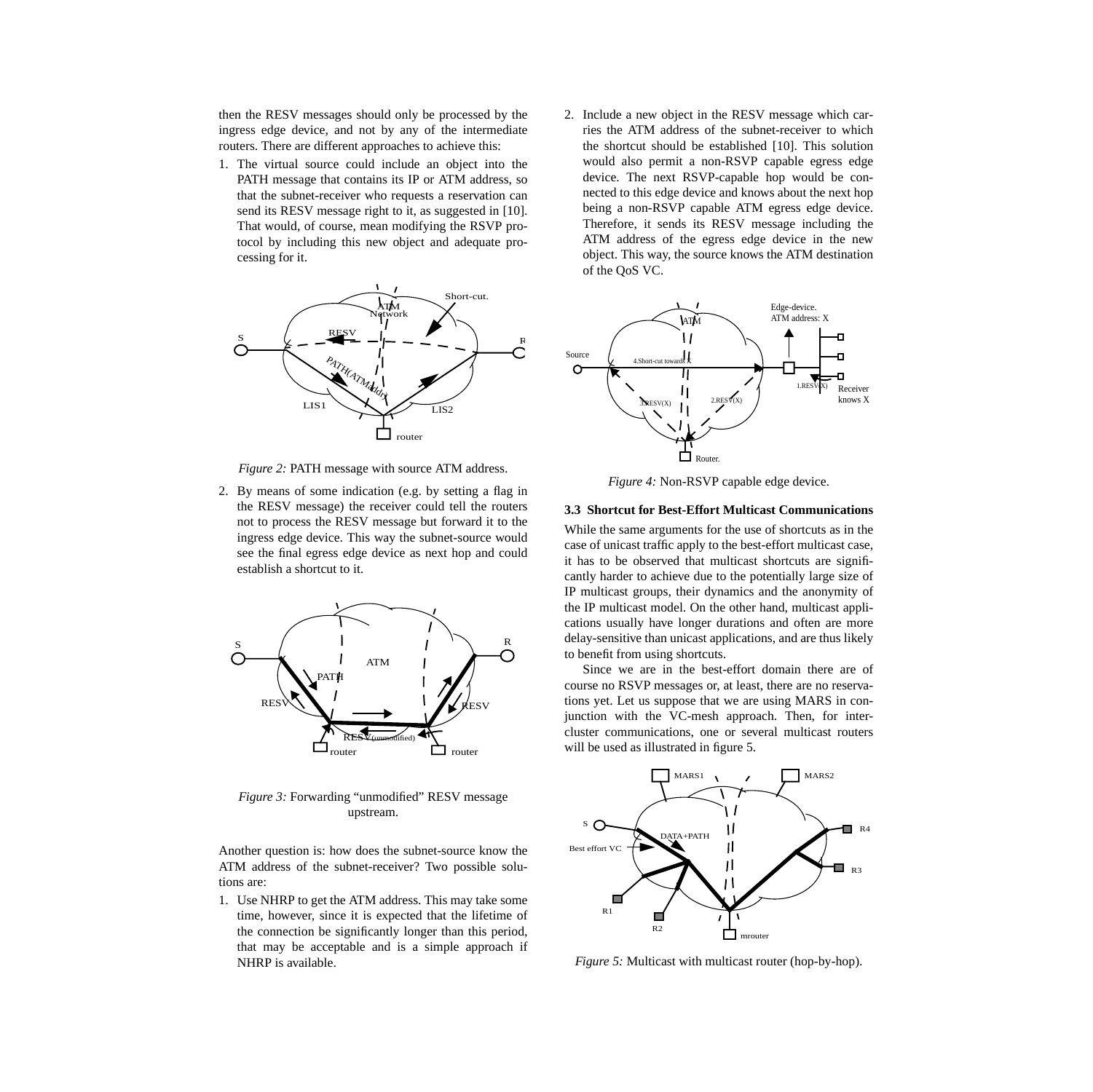then the RESV messages should only be processed by the ingress edge device, and not by any of the intermediate routers. There are different approaches to achieve this:

1. The virtual source could include an object into the PATH message that contains its IP or ATM address, so that the subnet-receiver who requests a reservation can send its RESV message right to it, as suggested in [10]. That would, of course, mean modifying the RSVP protocol by including this new object and adequate processing for it.



*Figure 2:* PATH message with source ATM address.

2. By means of some indication (e.g. by setting a flag in the RESV message) the receiver could tell the routers not to process the RESV message but forward it to the ingress edge device. This way the subnet-source would see the final egress edge device as next hop and could establish a shortcut to it.



*Figure 3:* Forwarding "unmodified" RESV message upstream.

Another question is: how does the subnet-source know the ATM address of the subnet-receiver? Two possible solutions are:

1. Use NHRP to get the ATM address. This may take some time, however, since it is expected that the lifetime of the connection be significantly longer than this period, that may be acceptable and is a simple approach if NHRP is available.

2. Include a new object in the RESV message which carries the ATM address of the subnet-receiver to which the shortcut should be established [10]. This solution would also permit a non-RSVP capable egress edge device. The next RSVP-capable hop would be connected to this edge device and knows about the next hop being a non-RSVP capable ATM egress edge device. Therefore, it sends its RESV message including the ATM address of the egress edge device in the new object. This way, the source knows the ATM destination of the QoS VC.



*Figure 4:* Non-RSVP capable edge device.

## **3.3 Shortcut for Best-Effort Multicast Communications**

While the same arguments for the use of shortcuts as in the case of unicast traffic apply to the best-effort multicast case, it has to be observed that multicast shortcuts are significantly harder to achieve due to the potentially large size of IP multicast groups, their dynamics and the anonymity of the IP multicast model. On the other hand, multicast applications usually have longer durations and often are more delay-sensitive than unicast applications, and are thus likely to benefit from using shortcuts.

Since we are in the best-effort domain there are of course no RSVP messages or, at least, there are no reservations yet. Let us suppose that we are using MARS in conjunction with the VC-mesh approach. Then, for intercluster communications, one or several multicast routers will be used as illustrated in figure 5.



*Figure 5:* Multicast with multicast router (hop-by-hop).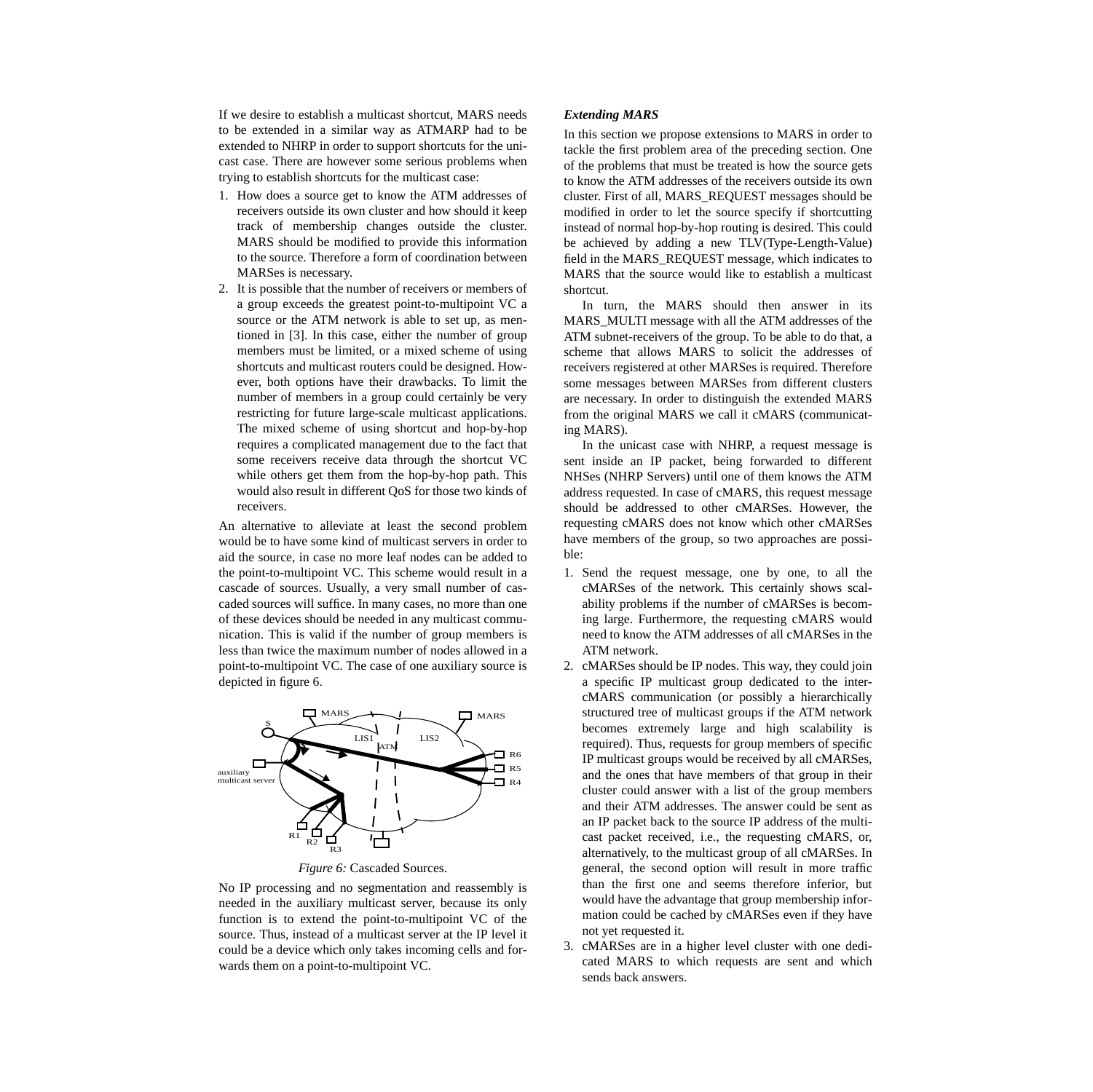If we desire to establish a multicast shortcut, MARS needs to be extended in a similar way as ATMARP had to be extended to NHRP in order to support shortcuts for the unicast case. There are however some serious problems when trying to establish shortcuts for the multicast case:

- 1. How does a source get to know the ATM addresses of receivers outside its own cluster and how should it keep track of membership changes outside the cluster. MARS should be modified to provide this information to the source. Therefore a form of coordination between MARSes is necessary.
- 2. It is possible that the number of receivers or members of a group exceeds the greatest point-to-multipoint VC a source or the ATM network is able to set up, as mentioned in [3]. In this case, either the number of group members must be limited, or a mixed scheme of using shortcuts and multicast routers could be designed. However, both options have their drawbacks. To limit the number of members in a group could certainly be very restricting for future large-scale multicast applications. The mixed scheme of using shortcut and hop-by-hop requires a complicated management due to the fact that some receivers receive data through the shortcut VC while others get them from the hop-by-hop path. This would also result in different QoS for those two kinds of receivers.

An alternative to alleviate at least the second problem would be to have some kind of multicast servers in order to aid the source, in case no more leaf nodes can be added to the point-to-multipoint VC. This scheme would result in a cascade of sources. Usually, a very small number of cascaded sources will suffice. In many cases, no more than one of these devices should be needed in any multicast communication. This is valid if the number of group members is less than twice the maximum number of nodes allowed in a point-to-multipoint VC. The case of one auxiliary source is depicted in figure 6.



*Figure 6:* Cascaded Sources.

No IP processing and no segmentation and reassembly is needed in the auxiliary multicast server, because its only function is to extend the point-to-multipoint VC of the source. Thus, instead of a multicast server at the IP level it could be a device which only takes incoming cells and forwards them on a point-to-multipoint VC.

#### *Extending MARS*

In this section we propose extensions to MARS in order to tackle the first problem area of the preceding section. One of the problems that must be treated is how the source gets to know the ATM addresses of the receivers outside its own cluster. First of all, MARS\_REQUEST messages should be modified in order to let the source specify if shortcutting instead of normal hop-by-hop routing is desired. This could be achieved by adding a new TLV(Type-Length-Value) field in the MARS\_REQUEST message, which indicates to MARS that the source would like to establish a multicast shortcut.

In turn, the MARS should then answer in its MARS\_MULTI message with all the ATM addresses of the ATM subnet-receivers of the group. To be able to do that, a scheme that allows MARS to solicit the addresses of receivers registered at other MARSes is required. Therefore some messages between MARSes from different clusters are necessary. In order to distinguish the extended MARS from the original MARS we call it cMARS (communicating MARS).

In the unicast case with NHRP, a request message is sent inside an IP packet, being forwarded to different NHSes (NHRP Servers) until one of them knows the ATM address requested. In case of cMARS, this request message should be addressed to other cMARSes. However, the requesting cMARS does not know which other cMARSes have members of the group, so two approaches are possible:

- 1. Send the request message, one by one, to all the cMARSes of the network. This certainly shows scalability problems if the number of cMARSes is becoming large. Furthermore, the requesting cMARS would need to know the ATM addresses of all cMARSes in the ATM network.
- 2. cMARSes should be IP nodes. This way, they could join a specific IP multicast group dedicated to the intercMARS communication (or possibly a hierarchically structured tree of multicast groups if the ATM network becomes extremely large and high scalability is required). Thus, requests for group members of specific IP multicast groups would be received by all cMARSes, and the ones that have members of that group in their cluster could answer with a list of the group members and their ATM addresses. The answer could be sent as an IP packet back to the source IP address of the multicast packet received, i.e., the requesting cMARS, or, alternatively, to the multicast group of all cMARSes. In general, the second option will result in more traffic than the first one and seems therefore inferior, but would have the advantage that group membership information could be cached by cMARSes even if they have not yet requested it.
- 3. cMARSes are in a higher level cluster with one dedicated MARS to which requests are sent and which sends back answers.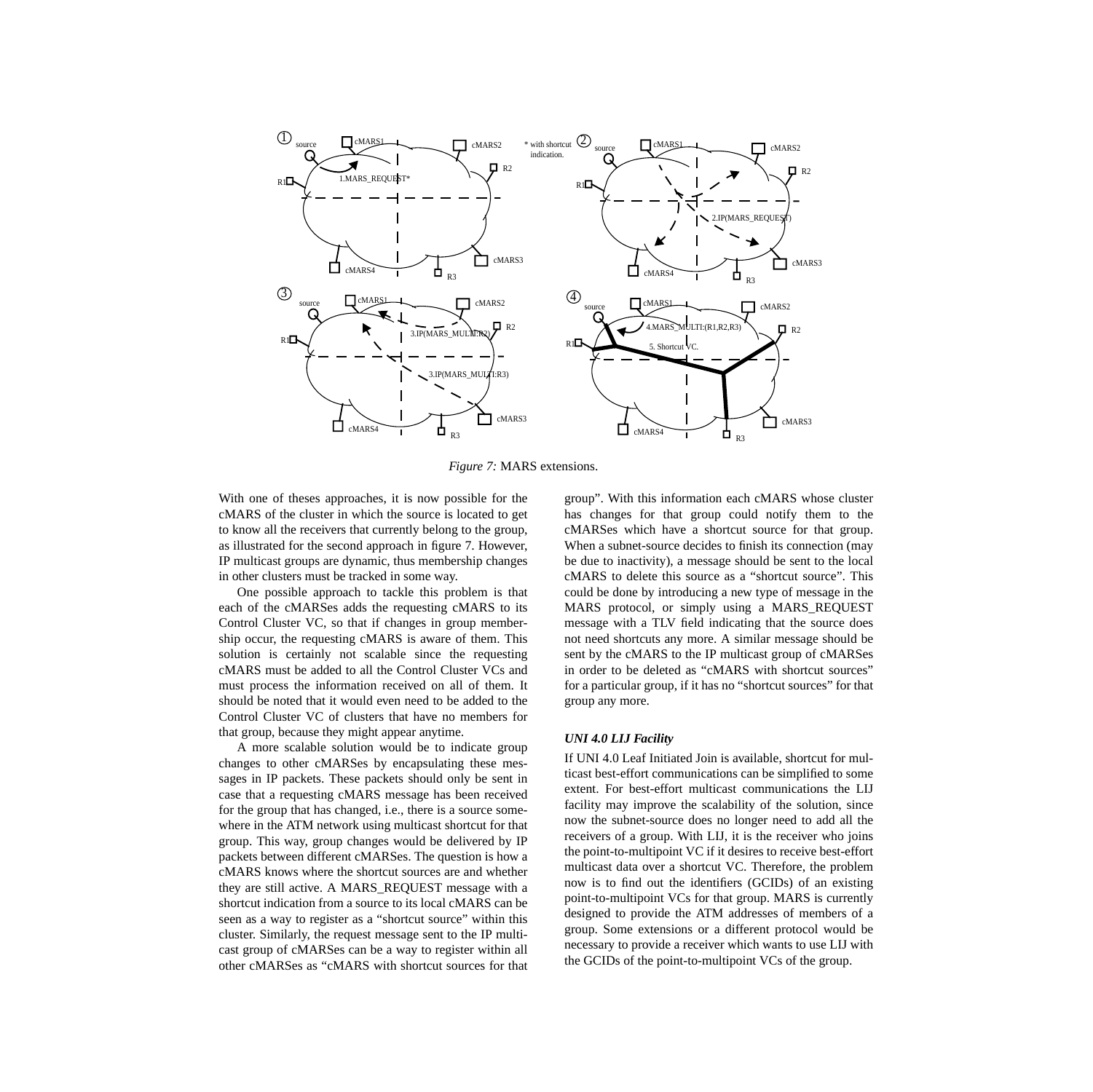

*Figure 7:* MARS extensions.

With one of theses approaches, it is now possible for the cMARS of the cluster in which the source is located to get to know all the receivers that currently belong to the group, as illustrated for the second approach in figure 7. However, IP multicast groups are dynamic, thus membership changes in other clusters must be tracked in some way.

One possible approach to tackle this problem is that each of the cMARSes adds the requesting cMARS to its Control Cluster VC, so that if changes in group membership occur, the requesting cMARS is aware of them. This solution is certainly not scalable since the requesting cMARS must be added to all the Control Cluster VCs and must process the information received on all of them. It should be noted that it would even need to be added to the Control Cluster VC of clusters that have no members for that group, because they might appear anytime.

A more scalable solution would be to indicate group changes to other cMARSes by encapsulating these messages in IP packets. These packets should only be sent in case that a requesting cMARS message has been received for the group that has changed, i.e., there is a source somewhere in the ATM network using multicast shortcut for that group. This way, group changes would be delivered by IP packets between different cMARSes. The question is how a cMARS knows where the shortcut sources are and whether they are still active. A MARS\_REQUEST message with a shortcut indication from a source to its local cMARS can be seen as a way to register as a "shortcut source" within this cluster. Similarly, the request message sent to the IP multicast group of cMARSes can be a way to register within all other cMARSes as "cMARS with shortcut sources for that group". With this information each cMARS whose cluster has changes for that group could notify them to the cMARSes which have a shortcut source for that group. When a subnet-source decides to finish its connection (may be due to inactivity), a message should be sent to the local cMARS to delete this source as a "shortcut source". This could be done by introducing a new type of message in the MARS protocol, or simply using a MARS REQUEST message with a TLV field indicating that the source does not need shortcuts any more. A similar message should be sent by the cMARS to the IP multicast group of cMARSes in order to be deleted as "cMARS with shortcut sources" for a particular group, if it has no "shortcut sources" for that group any more.

#### *UNI 4.0 LIJ Facility*

If UNI 4.0 Leaf Initiated Join is available, shortcut for multicast best-effort communications can be simplified to some extent. For best-effort multicast communications the LIJ facility may improve the scalability of the solution, since now the subnet-source does no longer need to add all the receivers of a group. With LIJ, it is the receiver who joins the point-to-multipoint VC if it desires to receive best-effort multicast data over a shortcut VC. Therefore, the problem now is to find out the identifiers (GCIDs) of an existing point-to-multipoint VCs for that group. MARS is currently designed to provide the ATM addresses of members of a group. Some extensions or a different protocol would be necessary to provide a receiver which wants to use LIJ with the GCIDs of the point-to-multipoint VCs of the group.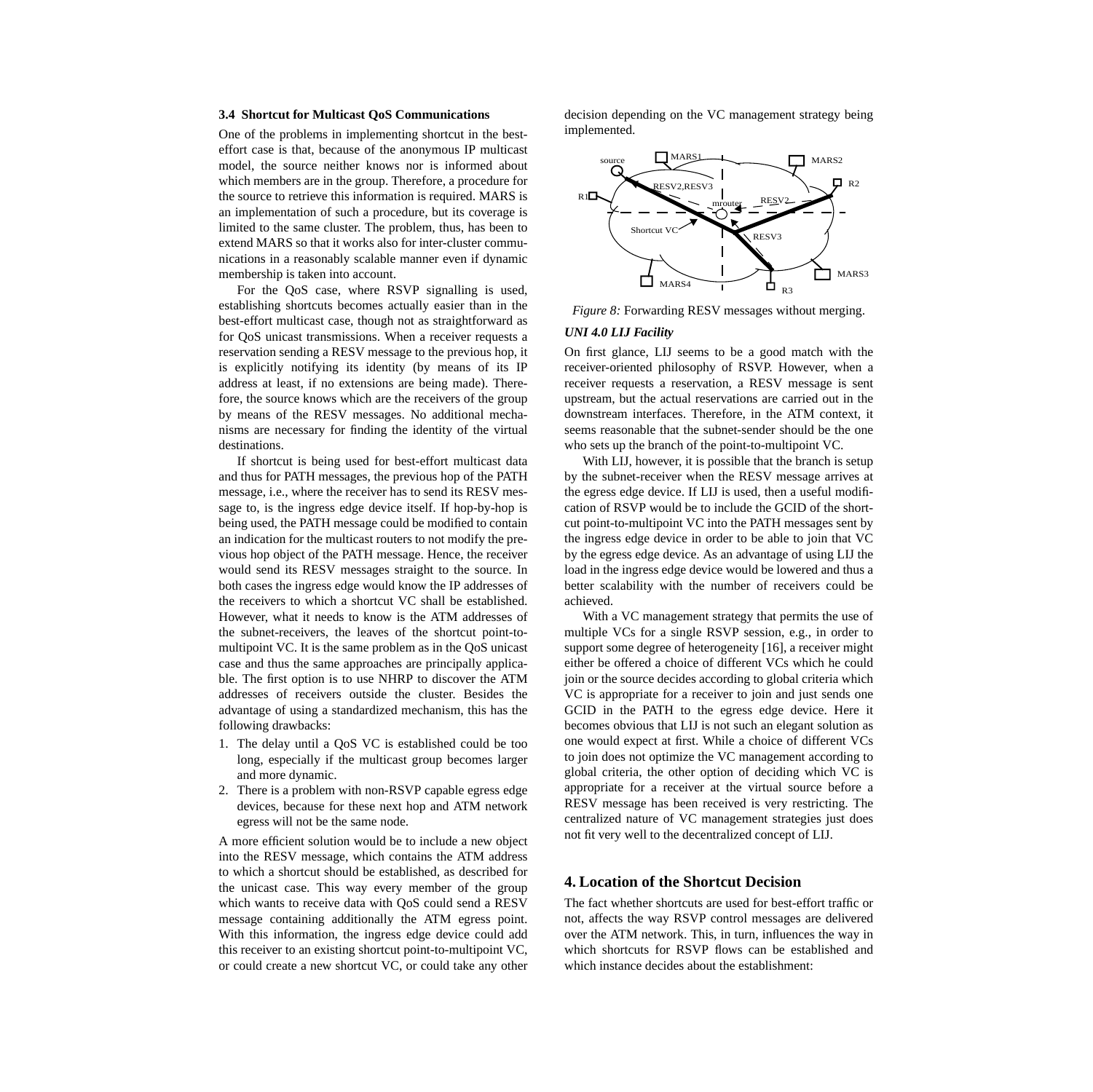#### **3.4 Shortcut for Multicast QoS Communications**

One of the problems in implementing shortcut in the besteffort case is that, because of the anonymous IP multicast model, the source neither knows nor is informed about which members are in the group. Therefore, a procedure for the source to retrieve this information is required. MARS is an implementation of such a procedure, but its coverage is limited to the same cluster. The problem, thus, has been to extend MARS so that it works also for inter-cluster communications in a reasonably scalable manner even if dynamic membership is taken into account.

For the QoS case, where RSVP signalling is used, establishing shortcuts becomes actually easier than in the best-effort multicast case, though not as straightforward as for QoS unicast transmissions. When a receiver requests a reservation sending a RESV message to the previous hop, it is explicitly notifying its identity (by means of its IP address at least, if no extensions are being made). Therefore, the source knows which are the receivers of the group by means of the RESV messages. No additional mechanisms are necessary for finding the identity of the virtual destinations.

If shortcut is being used for best-effort multicast data and thus for PATH messages, the previous hop of the PATH message, i.e., where the receiver has to send its RESV message to, is the ingress edge device itself. If hop-by-hop is being used, the PATH message could be modified to contain an indication for the multicast routers to not modify the previous hop object of the PATH message. Hence, the receiver would send its RESV messages straight to the source. In both cases the ingress edge would know the IP addresses of the receivers to which a shortcut VC shall be established. However, what it needs to know is the ATM addresses of the subnet-receivers, the leaves of the shortcut point-tomultipoint VC. It is the same problem as in the QoS unicast case and thus the same approaches are principally applicable. The first option is to use NHRP to discover the ATM addresses of receivers outside the cluster. Besides the advantage of using a standardized mechanism, this has the following drawbacks:

- 1. The delay until a QoS VC is established could be too long, especially if the multicast group becomes larger and more dynamic.
- 2. There is a problem with non-RSVP capable egress edge devices, because for these next hop and ATM network egress will not be the same node.

A more efficient solution would be to include a new object into the RESV message, which contains the ATM address to which a shortcut should be established, as described for the unicast case. This way every member of the group which wants to receive data with QoS could send a RESV message containing additionally the ATM egress point. With this information, the ingress edge device could add this receiver to an existing shortcut point-to-multipoint VC, or could create a new shortcut VC, or could take any other decision depending on the VC management strategy being implemented.



*Figure 8:* Forwarding RESV messages without merging.

#### *UNI 4.0 LIJ Facility*

On first glance, LIJ seems to be a good match with the receiver-oriented philosophy of RSVP. However, when a receiver requests a reservation, a RESV message is sent upstream, but the actual reservations are carried out in the downstream interfaces. Therefore, in the ATM context, it seems reasonable that the subnet-sender should be the one who sets up the branch of the point-to-multipoint VC.

With LIJ, however, it is possible that the branch is setup by the subnet-receiver when the RESV message arrives at the egress edge device. If LIJ is used, then a useful modification of RSVP would be to include the GCID of the shortcut point-to-multipoint VC into the PATH messages sent by the ingress edge device in order to be able to join that VC by the egress edge device. As an advantage of using LIJ the load in the ingress edge device would be lowered and thus a better scalability with the number of receivers could be achieved.

With a VC management strategy that permits the use of multiple VCs for a single RSVP session, e.g., in order to support some degree of heterogeneity [16], a receiver might either be offered a choice of different VCs which he could join or the source decides according to global criteria which VC is appropriate for a receiver to join and just sends one GCID in the PATH to the egress edge device. Here it becomes obvious that LIJ is not such an elegant solution as one would expect at first. While a choice of different VCs to join does not optimize the VC management according to global criteria, the other option of deciding which VC is appropriate for a receiver at the virtual source before a RESV message has been received is very restricting. The centralized nature of VC management strategies just does not fit very well to the decentralized concept of LIJ.

# **4. Location of the Shortcut Decision**

The fact whether shortcuts are used for best-effort traffic or not, affects the way RSVP control messages are delivered over the ATM network. This, in turn, influences the way in which shortcuts for RSVP flows can be established and which instance decides about the establishment: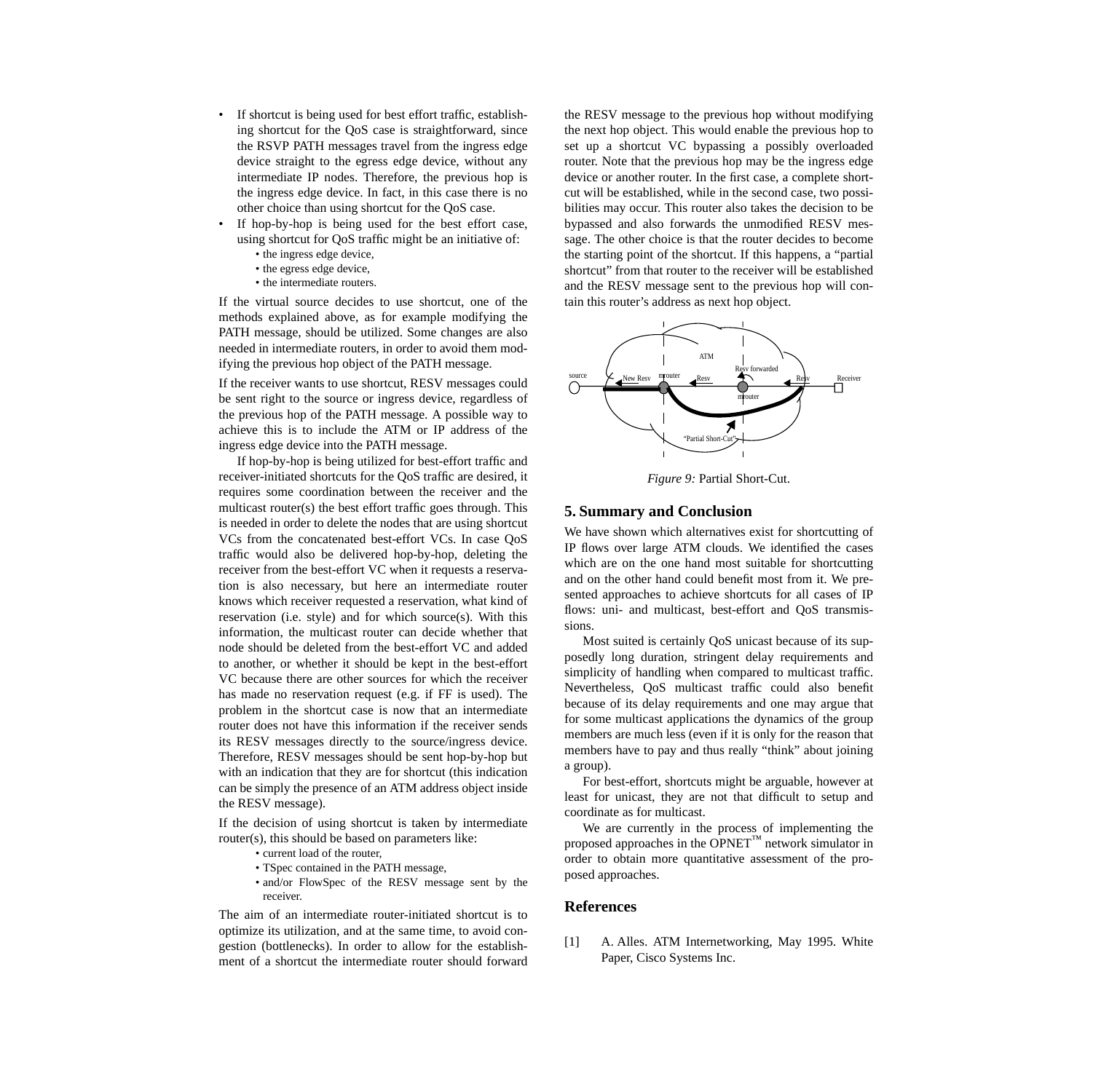- If shortcut is being used for best effort traffic, establishing shortcut for the QoS case is straightforward, since the RSVP PATH messages travel from the ingress edge device straight to the egress edge device, without any intermediate IP nodes. Therefore, the previous hop is the ingress edge device. In fact, in this case there is no other choice than using shortcut for the QoS case.
- If hop-by-hop is being used for the best effort case, using shortcut for QoS traffic might be an initiative of:
	- the ingress edge device,
	- the egress edge device,
	- the intermediate routers.

If the virtual source decides to use shortcut, one of the methods explained above, as for example modifying the PATH message, should be utilized. Some changes are also needed in intermediate routers, in order to avoid them modifying the previous hop object of the PATH message.

If the receiver wants to use shortcut, RESV messages could be sent right to the source or ingress device, regardless of the previous hop of the PATH message. A possible way to achieve this is to include the ATM or IP address of the ingress edge device into the PATH message.

If hop-by-hop is being utilized for best-effort traffic and receiver-initiated shortcuts for the QoS traffic are desired, it requires some coordination between the receiver and the multicast router(s) the best effort traffic goes through. This is needed in order to delete the nodes that are using shortcut VCs from the concatenated best-effort VCs. In case QoS traffic would also be delivered hop-by-hop, deleting the receiver from the best-effort VC when it requests a reservation is also necessary, but here an intermediate router knows which receiver requested a reservation, what kind of reservation (i.e. style) and for which source(s). With this information, the multicast router can decide whether that node should be deleted from the best-effort VC and added to another, or whether it should be kept in the best-effort VC because there are other sources for which the receiver has made no reservation request (e.g. if FF is used). The problem in the shortcut case is now that an intermediate router does not have this information if the receiver sends its RESV messages directly to the source/ingress device. Therefore, RESV messages should be sent hop-by-hop but with an indication that they are for shortcut (this indication can be simply the presence of an ATM address object inside the RESV message).

If the decision of using shortcut is taken by intermediate router(s), this should be based on parameters like:

- current load of the router,
- TSpec contained in the PATH message,
- and/or FlowSpec of the RESV message sent by the receiver.

The aim of an intermediate router-initiated shortcut is to optimize its utilization, and at the same time, to avoid congestion (bottlenecks). In order to allow for the establishment of a shortcut the intermediate router should forward the RESV message to the previous hop without modifying the next hop object. This would enable the previous hop to set up a shortcut VC bypassing a possibly overloaded router. Note that the previous hop may be the ingress edge device or another router. In the first case, a complete shortcut will be established, while in the second case, two possibilities may occur. This router also takes the decision to be bypassed and also forwards the unmodified RESV message. The other choice is that the router decides to become the starting point of the shortcut. If this happens, a "partial shortcut" from that router to the receiver will be established and the RESV message sent to the previous hop will contain this router's address as next hop object.



*Figure 9:* Partial Short-Cut.

## **5. Summary and Conclusion**

We have shown which alternatives exist for shortcutting of IP flows over large ATM clouds. We identified the cases which are on the one hand most suitable for shortcutting and on the other hand could benefit most from it. We presented approaches to achieve shortcuts for all cases of IP flows: uni- and multicast, best-effort and QoS transmissions.

Most suited is certainly QoS unicast because of its supposedly long duration, stringent delay requirements and simplicity of handling when compared to multicast traffic. Nevertheless, QoS multicast traffic could also benefit because of its delay requirements and one may argue that for some multicast applications the dynamics of the group members are much less (even if it is only for the reason that members have to pay and thus really "think" about joining a group).

For best-effort, shortcuts might be arguable, however at least for unicast, they are not that difficult to setup and coordinate as for multicast.

We are currently in the process of implementing the proposed approaches in the OPNET™ network simulator in order to obtain more quantitative assessment of the proposed approaches.

## **References**

[1] A. Alles. ATM Internetworking, May 1995. White Paper, Cisco Systems Inc.